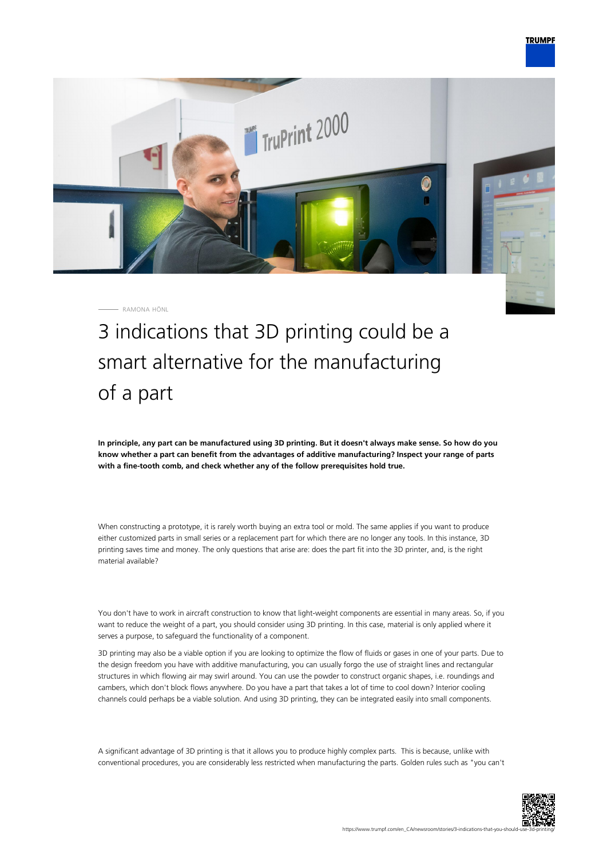

RAMONA HÖNL

3 indications that 3D printing could be a smart alternative for the manufacturing of a part

**In principle, any part can be manufactured using 3D printing. But it doesn't always make sense. So how do you know whether a part can benefit from the advantages of additive manufacturing? Inspect your range of parts with a fine-tooth comb, and check whether any of the follow prerequisites hold true.**

When constructing a prototype, it is rarely worth buying an extra tool or mold. The same applies if you want to produce either customized parts in small series or a replacement part for which there are no longer any tools. In this instance, 3D printing saves time and money. The only questions that arise are: does the part fit into the 3D printer, and, is the right material available?

You don't have to work in aircraft construction to know that light-weight components are essential in many areas. So, if you want to reduce the weight of a part, you should consider using 3D printing. In this case, material is only applied where it serves a purpose, to safeguard the functionality of a component.

3D printing may also be a viable option if you are looking to optimize the flow of fluids or gases in one of your parts. Due to the design freedom you have with additive manufacturing, you can usually forgo the use of straight lines and rectangular structures in which flowing air may swirl around. You can use the powder to construct organic shapes, i.e. roundings and cambers, which don't block flows anywhere. Do you have a part that takes a lot of time to cool down? Interior cooling channels could perhaps be a viable solution. And using 3D printing, they can be integrated easily into small components.

A significant advantage of 3D printing is that it allows you to produce highly complex parts. This is because, unlike with conventional procedures, you are considerably less restricted when manufacturing the parts. Golden rules such as "you can't